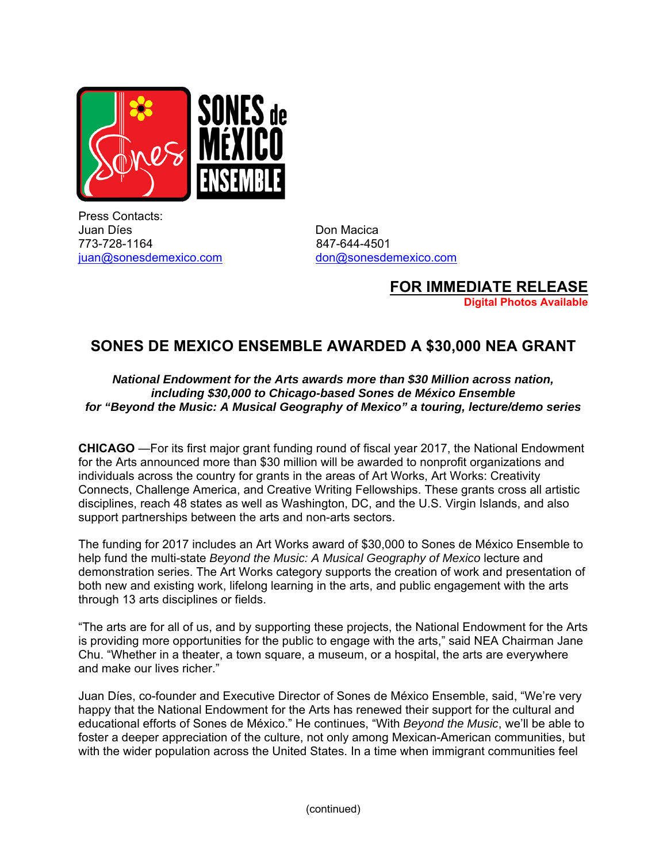

Press Contacts: Juan Díes **Don Macica** 773-728-1164 847-644-4501 juan@sonesdemexico.com don@sonesdemexico.com

**FOR IMMEDIATE RELEASE Digital Photos Available** 

## **SONES DE MEXICO ENSEMBLE AWARDED A \$30,000 NEA GRANT**

## *National Endowment for the Arts awards more than \$30 Million across nation, including \$30,000 to Chicago-based Sones de México Ensemble for "Beyond the Music: A Musical Geography of Mexico" a touring, lecture/demo series*

**CHICAGO** —For its first major grant funding round of fiscal year 2017, the National Endowment for the Arts announced more than \$30 million will be awarded to nonprofit organizations and individuals across the country for grants in the areas of Art Works, Art Works: Creativity Connects, Challenge America, and Creative Writing Fellowships. These grants cross all artistic disciplines, reach 48 states as well as Washington, DC, and the U.S. Virgin Islands, and also support partnerships between the arts and non-arts sectors.

The funding for 2017 includes an Art Works award of \$30,000 to Sones de México Ensemble to help fund the multi-state *Beyond the Music: A Musical Geography of Mexico* lecture and demonstration series. The Art Works category supports the creation of work and presentation of both new and existing work, lifelong learning in the arts, and public engagement with the arts through 13 arts disciplines or fields.

"The arts are for all of us, and by supporting these projects, the National Endowment for the Arts is providing more opportunities for the public to engage with the arts," said NEA Chairman Jane Chu. "Whether in a theater, a town square, a museum, or a hospital, the arts are everywhere and make our lives richer."

Juan Díes, co-founder and Executive Director of Sones de México Ensemble, said, "We're very happy that the National Endowment for the Arts has renewed their support for the cultural and educational efforts of Sones de México." He continues, "With *Beyond the Music*, we'll be able to foster a deeper appreciation of the culture, not only among Mexican-American communities, but with the wider population across the United States. In a time when immigrant communities feel